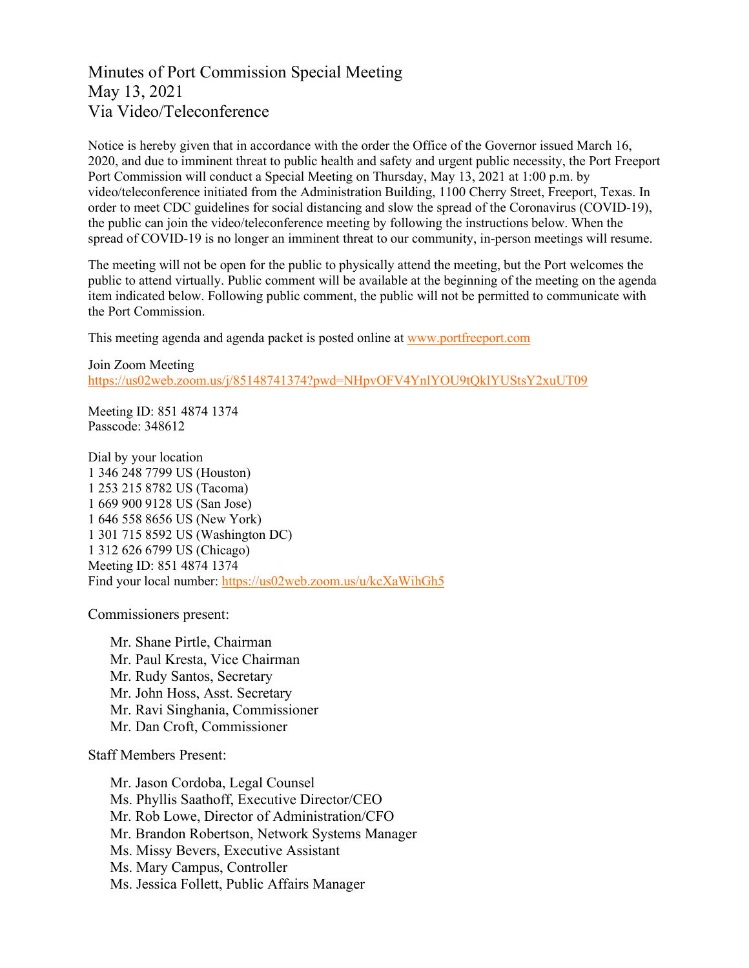## Minutes of Port Commission Special Meeting May 13, 2021 Via Video/Teleconference

Notice is hereby given that in accordance with the order the Office of the Governor issued March 16, 2020, and due to imminent threat to public health and safety and urgent public necessity, the Port Freeport Port Commission will conduct a Special Meeting on Thursday, May 13, 2021 at 1:00 p.m. by video/teleconference initiated from the Administration Building, 1100 Cherry Street, Freeport, Texas. In order to meet CDC guidelines for social distancing and slow the spread of the Coronavirus (COVID-19), the public can join the video/teleconference meeting by following the instructions below. When the spread of COVID-19 is no longer an imminent threat to our community, in-person meetings will resume.

The meeting will not be open for the public to physically attend the meeting, but the Port welcomes the public to attend virtually. Public comment will be available at the beginning of the meeting on the agenda item indicated below. Following public comment, the public will not be permitted to communicate with the Port Commission.

This meeting agenda and agenda packet is posted online at [www.portfreeport.com](http://www.portfreeport.com/)

Join Zoom Meeting <https://us02web.zoom.us/j/85148741374?pwd=NHpvOFV4YnlYOU9tQklYUStsY2xuUT09>

Meeting ID: 851 4874 1374 Passcode: 348612

Dial by your location 1 346 248 7799 US (Houston) 1 253 215 8782 US (Tacoma) 1 669 900 9128 US (San Jose) 1 646 558 8656 US (New York) 1 301 715 8592 US (Washington DC) 1 312 626 6799 US (Chicago) Meeting ID: 851 4874 1374 Find your local number:<https://us02web.zoom.us/u/kcXaWihGh5>

Commissioners present:

Mr. Shane Pirtle, Chairman Mr. Paul Kresta, Vice Chairman Mr. Rudy Santos, Secretary Mr. John Hoss, Asst. Secretary Mr. Ravi Singhania, Commissioner Mr. Dan Croft, Commissioner

Staff Members Present:

Mr. Jason Cordoba, Legal Counsel Ms. Phyllis Saathoff, Executive Director/CEO Mr. Rob Lowe, Director of Administration/CFO Mr. Brandon Robertson, Network Systems Manager Ms. Missy Bevers, Executive Assistant Ms. Mary Campus, Controller Ms. Jessica Follett, Public Affairs Manager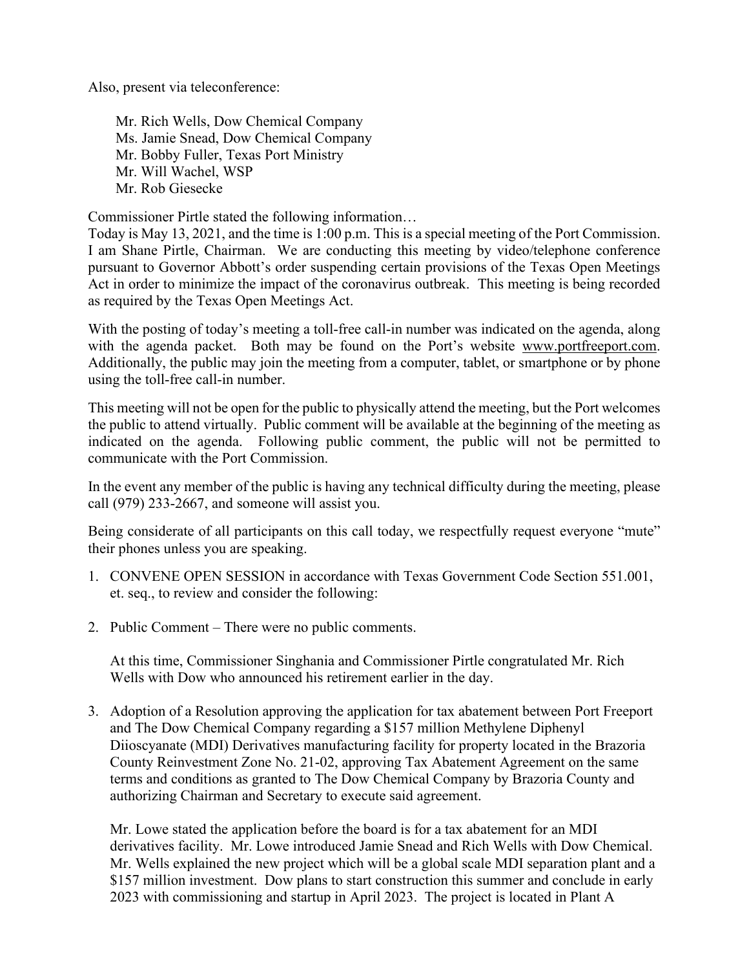Also, present via teleconference:

Mr. Rich Wells, Dow Chemical Company Ms. Jamie Snead, Dow Chemical Company Mr. Bobby Fuller, Texas Port Ministry Mr. Will Wachel, WSP Mr. Rob Giesecke

Commissioner Pirtle stated the following information…

Today is May 13, 2021, and the time is 1:00 p.m. This is a special meeting of the Port Commission. I am Shane Pirtle, Chairman. We are conducting this meeting by video/telephone conference pursuant to Governor Abbott's order suspending certain provisions of the Texas Open Meetings Act in order to minimize the impact of the coronavirus outbreak. This meeting is being recorded as required by the Texas Open Meetings Act.

With the posting of today's meeting a toll-free call-in number was indicated on the agenda, along with the agenda packet. Both may be found on the Port's website [www.portfreeport.com.](http://www.portfreeport.com/) Additionally, the public may join the meeting from a computer, tablet, or smartphone or by phone using the toll-free call-in number.

This meeting will not be open for the public to physically attend the meeting, but the Port welcomes the public to attend virtually. Public comment will be available at the beginning of the meeting as indicated on the agenda. Following public comment, the public will not be permitted to communicate with the Port Commission.

In the event any member of the public is having any technical difficulty during the meeting, please call (979) 233-2667, and someone will assist you.

Being considerate of all participants on this call today, we respectfully request everyone "mute" their phones unless you are speaking.

- 1. CONVENE OPEN SESSION in accordance with Texas Government Code Section 551.001, et. seq., to review and consider the following:
- 2. Public Comment There were no public comments.

At this time, Commissioner Singhania and Commissioner Pirtle congratulated Mr. Rich Wells with Dow who announced his retirement earlier in the day.

3. Adoption of a Resolution approving the application for tax abatement between Port Freeport and The Dow Chemical Company regarding a \$157 million Methylene Diphenyl Diioscyanate (MDI) Derivatives manufacturing facility for property located in the Brazoria County Reinvestment Zone No. 21-02, approving Tax Abatement Agreement on the same terms and conditions as granted to The Dow Chemical Company by Brazoria County and authorizing Chairman and Secretary to execute said agreement.

Mr. Lowe stated the application before the board is for a tax abatement for an MDI derivatives facility. Mr. Lowe introduced Jamie Snead and Rich Wells with Dow Chemical. Mr. Wells explained the new project which will be a global scale MDI separation plant and a \$157 million investment. Dow plans to start construction this summer and conclude in early 2023 with commissioning and startup in April 2023. The project is located in Plant A